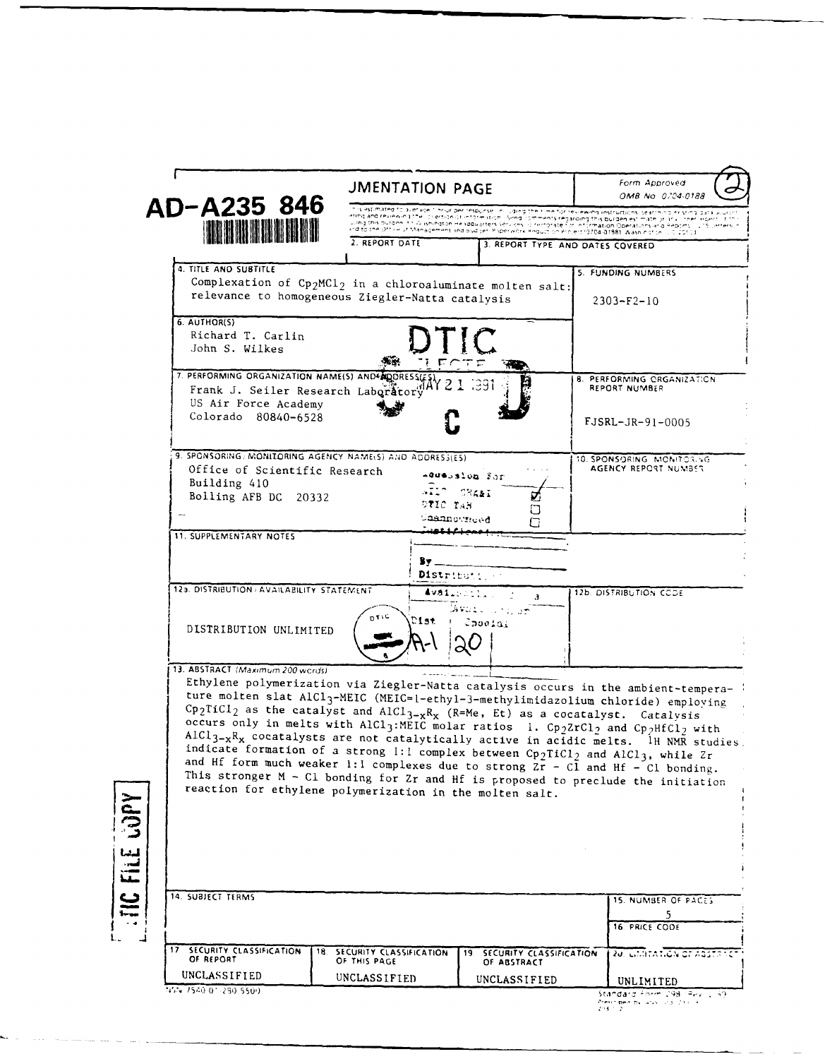|                                                                                                                                                                                                                                                                                                                                                                                                                                                                          | <b>JMENTATION PAGE</b>                                                                                                                                                                                                                                                                                                                                                                                                                                                                         |                                                            | Form Approved<br>OMB No 0704-0188                                                                                                                                                                                                                                                                                                                                                                                                           |
|--------------------------------------------------------------------------------------------------------------------------------------------------------------------------------------------------------------------------------------------------------------------------------------------------------------------------------------------------------------------------------------------------------------------------------------------------------------------------|------------------------------------------------------------------------------------------------------------------------------------------------------------------------------------------------------------------------------------------------------------------------------------------------------------------------------------------------------------------------------------------------------------------------------------------------------------------------------------------------|------------------------------------------------------------|---------------------------------------------------------------------------------------------------------------------------------------------------------------------------------------------------------------------------------------------------------------------------------------------------------------------------------------------------------------------------------------------------------------------------------------------|
| AD-A235 846<br><b>THE REAL AND REAL</b>                                                                                                                                                                                                                                                                                                                                                                                                                                  | is estimated to average it hour per response i nilluding their me for reviewing instructions, searching existing data<br>ating and reviewing the lot ertical of information. Singdicomments regarding this burden estimate or any loner works, and<br>Joing this outgen. It's a spington Headquarters services of remorate for information Operations and Reports (115 James).<br>ind to the Uthin of Management and budget. Paperwork Requit on Project (3704-01881, Washington, L.C. ISS.) 3 |                                                            |                                                                                                                                                                                                                                                                                                                                                                                                                                             |
|                                                                                                                                                                                                                                                                                                                                                                                                                                                                          | 2. REPORT DATE                                                                                                                                                                                                                                                                                                                                                                                                                                                                                 |                                                            | 3. REPORT TYPE AND DATES COVERED                                                                                                                                                                                                                                                                                                                                                                                                            |
| 4. TITLE AND SUBTITLE<br>Complexation of $Cp_2MC1_2$ in a chloroaluminate molten salt:                                                                                                                                                                                                                                                                                                                                                                                   |                                                                                                                                                                                                                                                                                                                                                                                                                                                                                                |                                                            | 5. FUNDING NUMBERS                                                                                                                                                                                                                                                                                                                                                                                                                          |
| relevance to homogeneous Ziegler-Natta catalysis                                                                                                                                                                                                                                                                                                                                                                                                                         |                                                                                                                                                                                                                                                                                                                                                                                                                                                                                                |                                                            | $2303 - F2 - 10$                                                                                                                                                                                                                                                                                                                                                                                                                            |
| 6. AUTHOR(S)<br>Richard T. Carlin<br>John S. Wilkes                                                                                                                                                                                                                                                                                                                                                                                                                      |                                                                                                                                                                                                                                                                                                                                                                                                                                                                                                |                                                            |                                                                                                                                                                                                                                                                                                                                                                                                                                             |
| 7. PERFORMING ORGANIZATION NAME(S) AND AQUIRESSUES<br>Frank J. Seiler Research Laboratory 74Y 2 1<br>US Air Force Academy                                                                                                                                                                                                                                                                                                                                                |                                                                                                                                                                                                                                                                                                                                                                                                                                                                                                | 1391                                                       | <b>8. PERFORMING ORGANIZATION</b><br><b>REPORT NUMBER</b>                                                                                                                                                                                                                                                                                                                                                                                   |
| Colorado 80840-6528                                                                                                                                                                                                                                                                                                                                                                                                                                                      |                                                                                                                                                                                                                                                                                                                                                                                                                                                                                                |                                                            | FJSRL-JR-91-0005                                                                                                                                                                                                                                                                                                                                                                                                                            |
| 9. SPONSORING, MONITORING AGENCY NAME(S) AND ADDRESS(ES)<br>Office of Scientific Research<br>Building 410<br>Bolling AFB DC 20332                                                                                                                                                                                                                                                                                                                                        | .712<br>DTIC TAB                                                                                                                                                                                                                                                                                                                                                                                                                                                                               | Addension For<br>CRANT                                     | 10. SPONSORING MONITORING<br>AGENCY REPORT NUMBER                                                                                                                                                                                                                                                                                                                                                                                           |
| <b>11. SUPPLEMENTARY NOTES</b>                                                                                                                                                                                                                                                                                                                                                                                                                                           | Caannoweed                                                                                                                                                                                                                                                                                                                                                                                                                                                                                     |                                                            |                                                                                                                                                                                                                                                                                                                                                                                                                                             |
|                                                                                                                                                                                                                                                                                                                                                                                                                                                                          | 8y _<br>Distributi.                                                                                                                                                                                                                                                                                                                                                                                                                                                                            |                                                            |                                                                                                                                                                                                                                                                                                                                                                                                                                             |
| 12a. DISTRIBUTION AVAILABILITY STATEMENT                                                                                                                                                                                                                                                                                                                                                                                                                                 |                                                                                                                                                                                                                                                                                                                                                                                                                                                                                                | Availlentin<br>$\mathbf{J}$                                | 12b. DISTRIBUTION CODE                                                                                                                                                                                                                                                                                                                                                                                                                      |
| DISTRIBUTION UNLIMITED                                                                                                                                                                                                                                                                                                                                                                                                                                                   | Dist                                                                                                                                                                                                                                                                                                                                                                                                                                                                                           | خوارده بالمعطفة<br>Choolai                                 |                                                                                                                                                                                                                                                                                                                                                                                                                                             |
| Cp <sub>2</sub> TiCl <sub>2</sub> as the catalyst and AlCl <sub>3-x</sub> R <sub>x</sub> (R=Me, Et) as a cocatalyst. Catalysis<br>$AICI_{3-x}R_x$ cocatalysts are not catalytically active in acidic melts. IH NMR studies.<br>and Hf form much weaker 1:1 complexes due to strong $2r - C1$ and Hf - $C1$ bonding.<br>This stronger $M - CL$ bonding for $Zr$ and Hf is proposed to preclude the initiation<br>reaction for ethylene polymerization in the molten salt. |                                                                                                                                                                                                                                                                                                                                                                                                                                                                                                |                                                            | Ethylene polymerization via Ziegler-Natta catalysis occurs in the ambient-tempera-<br>ture molten slat AlCl <sub>3</sub> -MEIC (MEIC=1-ethy1-3-methylimidazolium chloride) employing<br>occurs only in melts with AlCl <sub>3</sub> : MEIC molar ratios 1. Cp <sub>2</sub> ZrCl <sub>2</sub> and Cp <sub>2</sub> HfCl <sub>2</sub> with<br>indicate formation of a strong 1:1 complex between $Cp_2TiCl_2$ and AlCl <sub>3</sub> , while Zr |
| 14. SUBJECT TERMS                                                                                                                                                                                                                                                                                                                                                                                                                                                        |                                                                                                                                                                                                                                                                                                                                                                                                                                                                                                |                                                            | 15. NUMBER OF PACES<br>5                                                                                                                                                                                                                                                                                                                                                                                                                    |
|                                                                                                                                                                                                                                                                                                                                                                                                                                                                          |                                                                                                                                                                                                                                                                                                                                                                                                                                                                                                |                                                            | 16 PRICE CODE                                                                                                                                                                                                                                                                                                                                                                                                                               |
|                                                                                                                                                                                                                                                                                                                                                                                                                                                                          |                                                                                                                                                                                                                                                                                                                                                                                                                                                                                                |                                                            |                                                                                                                                                                                                                                                                                                                                                                                                                                             |
| 17 SECURITY CLASSIFICATION<br>18.<br>OF REPORT<br>UNCLASSIFIED                                                                                                                                                                                                                                                                                                                                                                                                           | SECURITY CLASSIFICATION<br>OF THIS PAGE<br>UNCLASSIFIED                                                                                                                                                                                                                                                                                                                                                                                                                                        | 19. SECURITY CLASSIFICATION<br>OF ABSTRACT<br>UNCLASSIFIED | <mark>20. ΕΠΙΤΑΤΙΟΝ ΟΓ</mark> ΑΒΕΤΑΝΟ<br>UNLIMITED                                                                                                                                                                                                                                                                                                                                                                                          |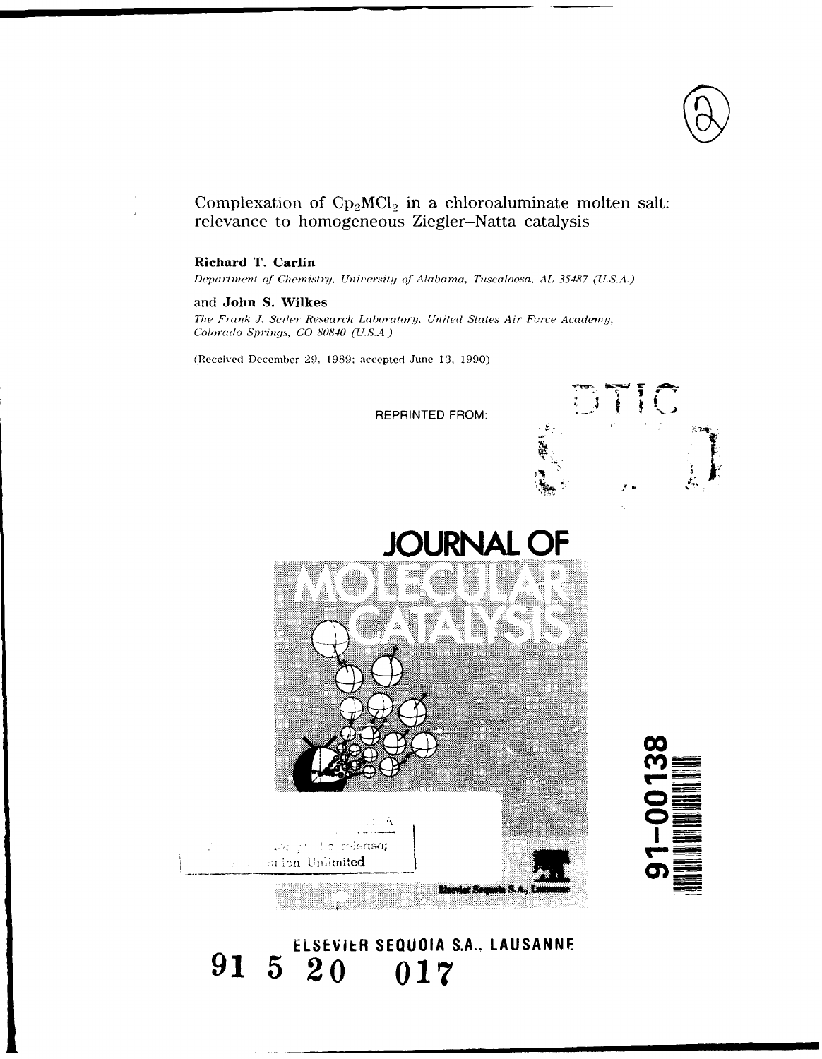

## Complexation of  $\text{Cp}_2 \text{MCl}_2$  in a chloroaluminate molten salt: relevance to homogeneous Ziegler-Natta catalysis

### Richard T. Carlin

Department of Chemistry, University of Alabama, Tuscaloosa, AL 35487 (U.S.A.)

## and John S. Wilkes

The Frank J. Seiler Research Laboratory, United States Air Force Academy, Colorado Springs, CO 80840 (U.S.A.)

(Received December 29, 1989; accepted June 13, 1990)

**REPRINTED FROM:** 







## ELSEVIER SEQUOIA S.A., LAUSANNE 91 5 20 017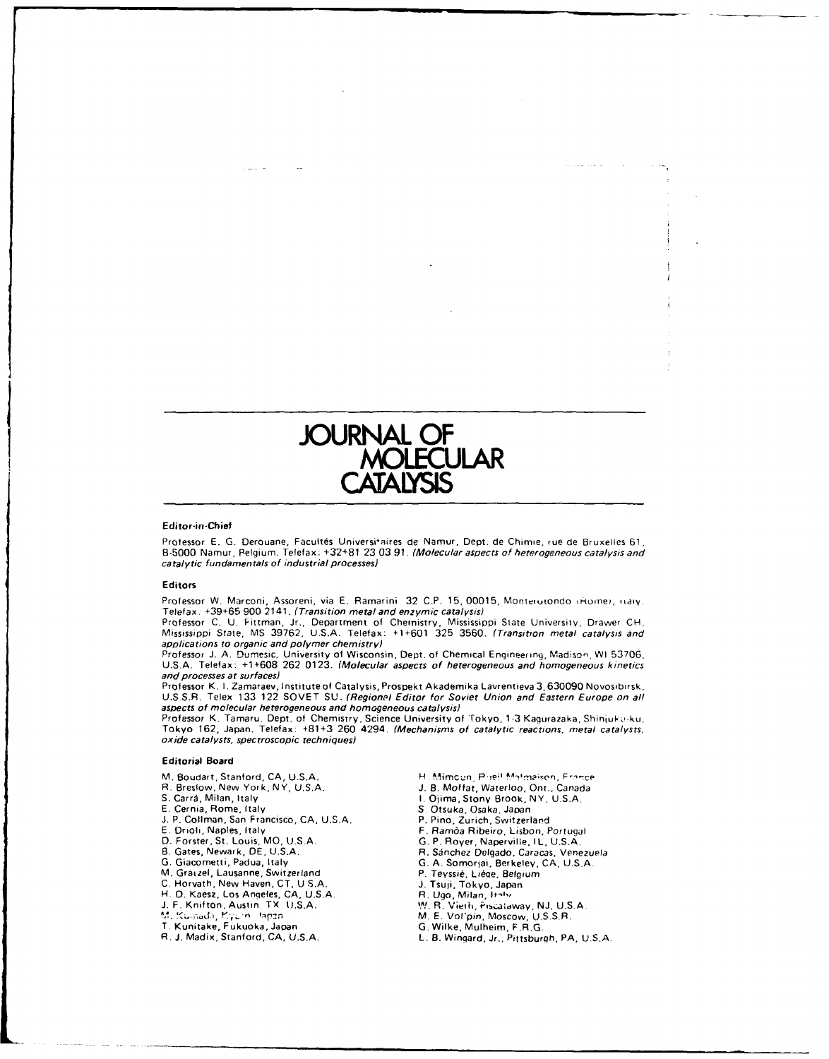

#### **Editor-in -Chief**

Professor E. G. Derouane, Facultés Universitaires de Namur, Dept. de Chimie, rue de Bruxelles 61, B-5000 Namur, Relgium. Telefax: **+32+81 23 03 91.** (Molecular aspects of heterogeneous catalysis and catalytic fundamentals of industrial processes)

#### **Editors**

Professor W. Marconi, Assoreni, via E. Ramarini 32 C.P. 15, 00015, Monterotondo (Home), Haly. Telefax. **+39+65 900** 2141. (Transition metal and enszymic catalysis)

Professor C. U. Fittman, Jr., Department of Chemistry, Mississippi State University, Drawer CH<br>Mississippi State, MS 39762, U.S.A. Telefax: +1+601 325 3560. *(Transition metal catalysis and* applications to organic and polymer chemistry)

Professor J. A. Dumesic, University of Wisconsin, Dept. of Chemical Engineering, Madison, W1 53706.<br>U.S.A. Telefax: +1+608-262-0123. *(Molecular aspects of heterogeneous and homogeneous kinetics* and processes **at** surfaces)

Professor K. I. Zamaraev, Institute of Catalysis, Prospekt Akademika Lavrentieva 3, 630090 Novosibirsk<br>U.S.S.R. Telex 133-122-SOVET-SU. *(Regional Editor for Soviet-Union and Eastern Europe on al* aspects of molecular heterogeneous and homogeneous catalysis)

Professor K. Tamaru, Dept. of Chemistry, Science University of Tokyo, 1-3 Kagurazaka, Shinjuk o-ku.<br>Tokyo 162, Japan. Telefax: +81+3 260 4294. *(Mechanisms of catalytic reactions, metal catalysts* oxide catalysts, spec troscopic techniques)

#### **Editorial Board**

- 
- 
- 
- 
- 
- **J. P. Collman, San Francisco, CA, U.S.A.**<br>E. Drioli, Naples, Italy **E. P. Collman, San Francisco, CA, U.S.A.** P. Pino, Zurich, Switzerland<br>
E. Drioli, Naples, Italy F. Ramoa Ribeiro, Lisbon, Portugal<br>
D. Forster, St. Louis, MO, U.S.A. G. P. Royer, Naperville, IL, U.S.A.
- 
- 
- **G.** Giacometti, Padua, Italy **G. A.** Somorfai, Berkeley, **CA, U.S.A.**
- 
- M. Graizel, Lausanne, Switzerland P. Teyssié, Liège, Belgium
- **C. Horvath, New Haven, CT, U S.A.**
- H. **0.** Kaesz, Los Angeles. **CA, U.S.A.** R. **Ugo,** Milan, lt-"', **J.** F. Knifton, Austin. TX **U.S.A. %1%1** R. Vieth, PISiWIdaa, **NJ. U.S.A.**
- 
- 
- 
- 

M. Boudart, Stanford, CA, U.S.A. **H. Mimcun, Pireil Malmeison, France**<br>R. Breslow, New York, NY, U.S.A. **B. Allen H. B. Moffat, Waterloo, Ont., Canada** 

a da sua al

- R. Breslow, New York, NY, U.S.A. **J. B. Moffat, Waterloo, Ont., Canada**<br>S. Carrà, Milan, Italy **J. B. A. A. B. A. B. A. A. A. B. Canada** S. Carrà, M. J. S.A.
- **S. Carra, Milan, Italy 1. Community 1. Ojima, Stony Brook, NY, U.S.A.**<br>**1. Cernia, Rome, Italy 1. 1. 1.** *S. Otsuka, Osaka, Japan* 
	- **E.** Cernia, Rome, Italy **S** Otsuka, Osaka, Japan
	-
	-
	-
- **D.** Forster, St. Louis, MOD, **U.S.A. G.** P. Royer, Naperville. I L, **U.S.A. B.** Gates, Newark, **DE, U.S.A.** R. Sinchez Delqado, Caracas, Venezuela
	-
	-
	-
	-
	-
	-
	- **1. Tsuji, Tokyo, Japan<br><b>R. Ugo, Milan, Italy**<br>M. R. Vieth, Piscalaway, NJ, U.S.A.<br>M. E. Vol'pin, Moscow, U.S.S.R.<br>G. Wilke, Mulheim, F.R.G.
	-
- T. Kunitake, Fukuoka, Japan **G.** Wilke, Mulheim, F.R.G. R. **J.** Madix, Stanford, **CA, U.S.A.** L. B. Wingard, Jr.. Pittsburgh, PA, **U.S.A.**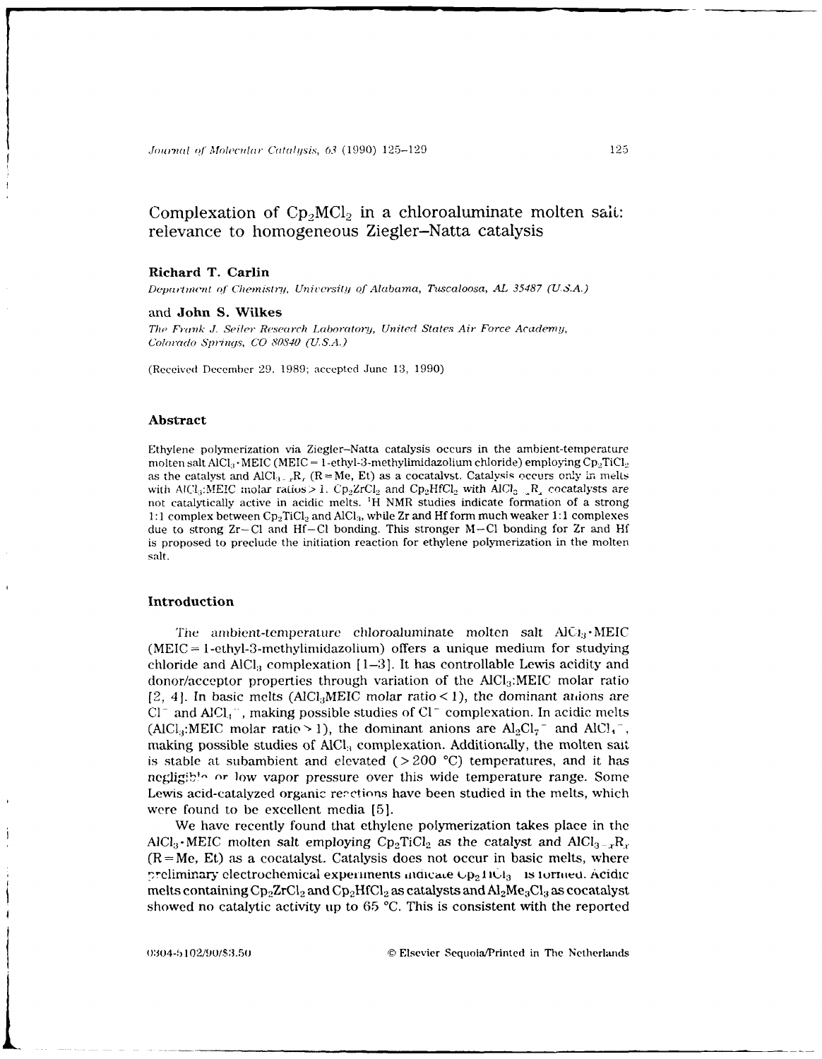## Complexation of  $\text{Cp}_2\text{MCl}_2$  in a chloroaluminate molten sait: relevance to homogeneous Ziegler-Natta catalysis

#### **Richard T. Carlin**

*Department of Chemistry, University of Alabama, Tuscaloosa, AL 35487 (U.S.A.)* 

and **John S. Wilkes**

*The* Frank J. Seiler *Research Laboratory, United States Air Force Academy, Colrado Springs, CO 80840 (U.S.A.)*

(Received December 29, 1989; accepted June 13, 1990)

#### **Abstract**

Ethylene polymerization via Ziegler-Natta catalysis occurs in the ambient-temperature molten salt AlCl<sub>3</sub> · MEIC (MEIC = 1-ethyl-3-methylimidazolium chloride) employing Cp<sub>p</sub>TiCl<sub>2</sub> as the catalyst and  $AICl_{3-}$ ,  $R_r$ . ( $R = Me$ , Et) as a cocatalyst. Catalysis occurs only in melts with AlCl<sub>3</sub>:MEIC molar ratios > 1.  $\text{Cp}_2\text{ZrCl}_2$  and  $\text{Cp}_2\text{HfCl}_2$  with AlCl<sub>2</sub>  $\text{R}_4$  cocatalysts are not catalytically active in acidic melts. 'H NMR studies indicate formation of a strong 1:1 complex between Cp<sub>2</sub>TiCl<sub>2</sub> and AlCl<sub>3</sub>, while Zr and Hf form much weaker 1:1 complexes due to strong  $Zr-Cl$  and  $Hf-Cl$  bonding. This stronger  $M-Cl$  bonding for  $Zr$  and  $Hf$ is proposed to preclude the initiation reaction for ethylene polymerization in the molten salt.

#### **Introduction**

The ambient-temperattre chloroaluminate molten salt **AiC.!3 -MEIC**  $(MEIC = 1-\text{ethyl-3-methylimidazolium})$  offers a unique medium for studying chloride and  $AIC<sub>i</sub>$  complexation  $[1-3]$ . It has controllable Lewis acidity and donor/acceptor properties through variation of the  $AICI_3$ : MEIC molar ratio [2, 4]. In basic melts (AlCl<sub>3</sub>MEIC molar ratio < 1), the dominant anions are **Cl -** and **AICI.,** , making possible studies of **C1-** complexation. In acidic melts (AlCl<sub>3</sub>:MEIC molar ratio > 1), the dominant anions are  $Al_2Cl_7^-$  and  $AlCl_4^-$ , making possible studies of AICI, complexation. Additionally, the molten sait is stable at subambient and elevated (> 200 **'C)** temperatures, and it has negligib!" or low vapor pressure over this wide temperature range. Some Lewis acid-catalyzed organic reactions have been studied in the melts, which were found to be excellent media **[5].**

We have recently found that ethylene polymerization takes place in the AlCl<sub>3</sub>. MEIC molten salt employing Cp<sub>2</sub>TiCl<sub>2</sub> as the catalyst and AlCl<sub>3-x</sub>R<sub>r</sub>.  $(R=Me, Et)$  as a cocatalyst. Catalysis does not occur in basic melts, where preliminary electrochemical experiments indicate  $\cup p_2$  IIOl<sub>3</sub> is formed. Acidic melts containing  $Cp_2ZrCl_2$  and  $Cp_2HfCl_2$  as catalysts and  $Al_2Me_3Cl_3$  as cocatalyst showed no catalytic activity tip to 65 **'C.** This is consistent with the reported

0:104-b 1021/90/\$3.50 © Elsevier Sequoia/Printed in The Netherlands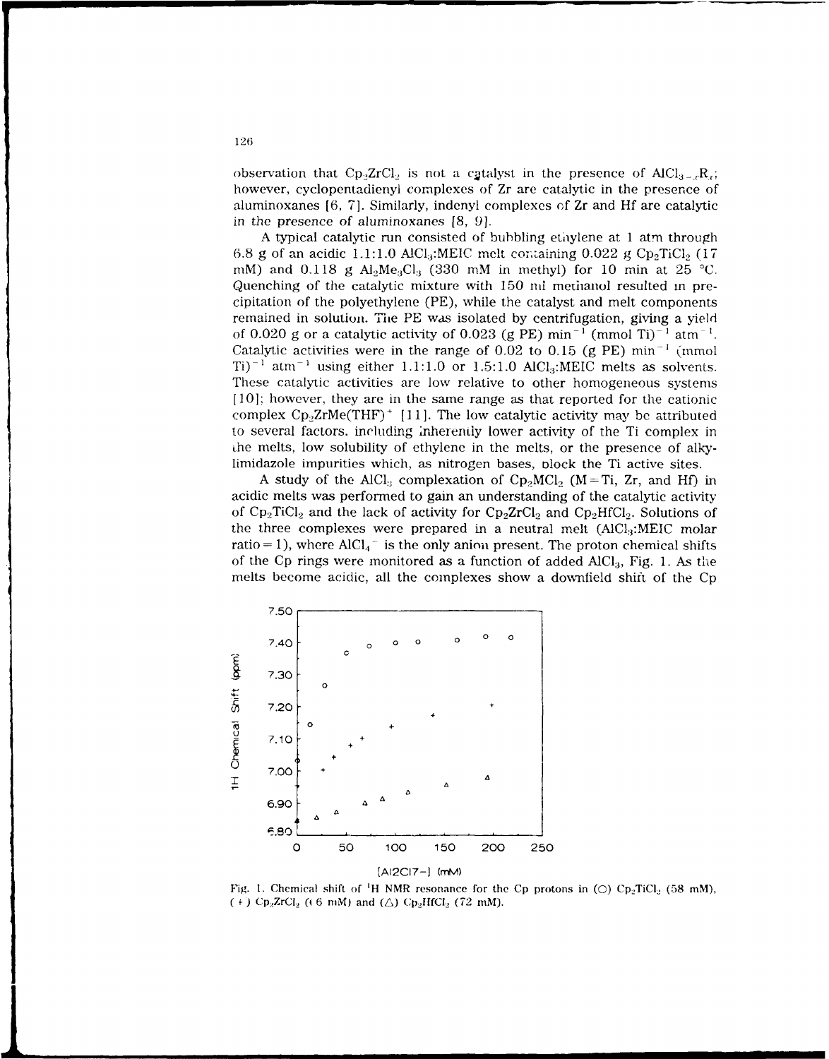observation that Cp<sub>2</sub>ZrCl<sub>2</sub> is not a c<sub>2</sub>talyst in the presence of AlCl<sub>3-x</sub>R<sub>x</sub>; however, cyclopentadienyl complexes of Zr are catalytic in the presence of aluminoxanes [6, 7]. Similarly, indenyl complexes of Zr and Hf are catalytic in the presence of aluminoxanes [8, 9].

A typical catalytic run consisted of bubbling ethylene at 1 atm through 6.8 g of an acidic 1.1:1.0 AlCl<sub>3</sub>:MEIC melt containing  $0.022$  g Cp<sub>2</sub>TiCl<sub>2</sub> (17 mM) and 0.118 g  $Al_2Me_3Cl_3$  (330 mM in methyl) for 10 min at 25 °C. Quenching of the catalytic mixture with 150 ml metianol resulted m precipitation of the polyethylene (PE), while the catalyst and melt components remained in solution. The PE was isolated by centrifugation, giving a yield of 0.020 g or a catalytic activity of 0.023 (g PE) min<sup>-1</sup> (mmol Ti)<sup>-1</sup> atm<sup>-1</sup>. Catalytic activities were in the range of 0.02 to 0.15 (g PE)  $min^{-1}$  (mmol  $Ti)^{-1}$  atm<sup>-1</sup> using either 1.1:1.0 or 1.5:1.0 AlCl<sub>3</sub>:MEIC melts as solvents. These catalytic activities are low relative to other homogeneous systems [10]; however, they are in the same range as that reported for the cationic complex  $\text{Cp}_2\text{ZrMe}(\text{THF})^+$  [11]. The low catalytic activity may be attributed to several factors, including inherently lower activity of the Ti complex in the melts, low solubility of ethylene in the melts, or the presence of alkylimidazole impurities which, as nitrogen bases, Dlock the Ti active sites.

A study of the AlCl<sub>3</sub> complexation of  $\text{Cp}_2\text{MCl}_2$  (M=Ti, Zr, and Hf) in acidic melts was performed to gain an understanding of the catalytic activity of  $\text{Cp}_2 \text{TiCl}_2$  and the lack of activity for  $\text{Cp}_2 \text{ZrCl}_2$  and  $\text{Cp}_2 \text{HfCl}_2$ . Solutions of the three complexes were prepared in a neutral melt  $(AICl<sub>3</sub>:MEIC molar)$ ratio = 1), where  $AICI<sub>4</sub>$ <sup>-</sup> is the only anion present. The proton chemical shifts of the Cp rings were monitored as a function of added **AICl3 ,** Fig. 1. As the melts become acidic, all the complexes show a downfield shift of the Cp



Fig. 1. Chemical shift of <sup>1</sup>H NMR resonance for the Cp protons in  $\text{O}$ )  $\text{Cp}_2 \text{TiCl}_2$  (58 mM),  $f +$  **f**  $Cp_2ZrCl_2$  ((6 mM) and ( $\triangle$ )  $Cp_2HfCl_2$  (72 mM).

**126**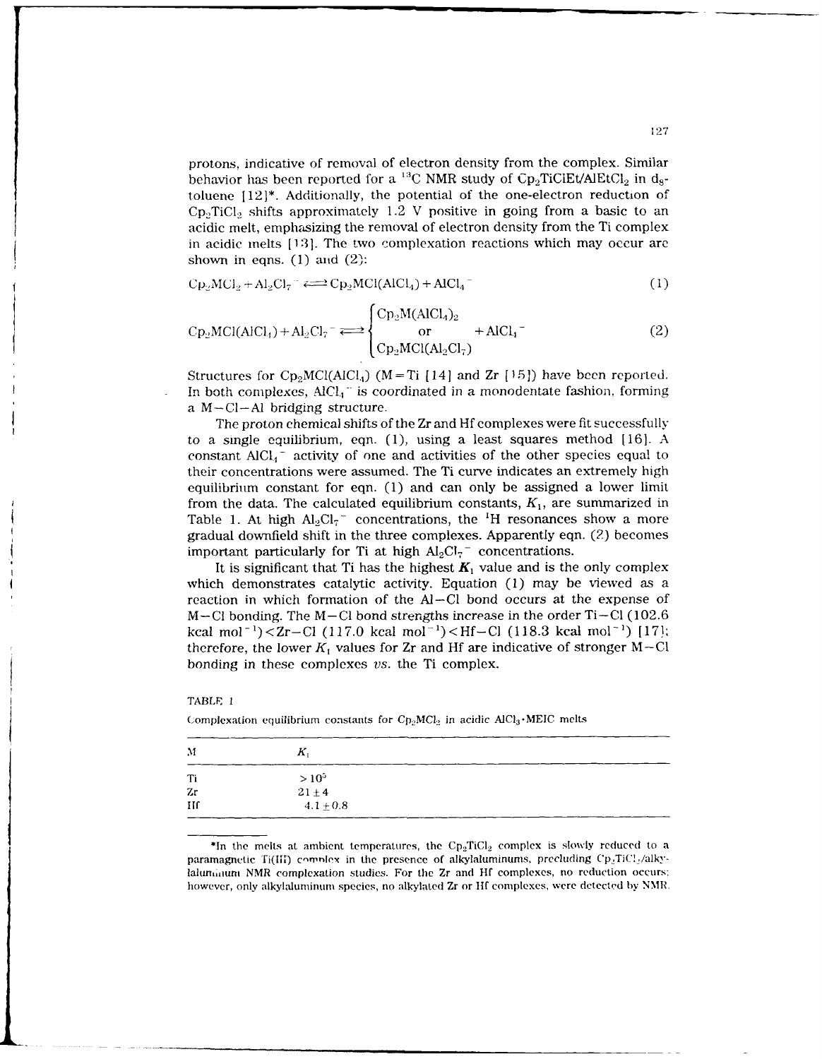protons, indicative of removal of electron density from the complex. Similar behavior has been reported for a <sup>13</sup>C NMR study of  $\text{Cp}_2\text{TiCIEt/ALEtCl}_2$  in d<sub>s</sub>toluene  $[12]^*$ . Additionally, the potential of the one-electron reduction of  $CD<sub>2</sub>TiCl<sub>2</sub>$  shifts approximately 1.2 V positive in going from a basic to an acidic melt, emphasizing the removal of electron density from the Ti complex in acidic melts [131. The two complexation reactions which may occur are shown in eqns.  $(1)$  and  $(2)$ :

$$
C p_2 M C l_2 + A l_2 C l_7 \stackrel{\sim}{\longleftrightarrow} C p_2 M C l (A l C l_4) + A l C l_4 \tag{1}
$$

$$
Cp_2MCI(AlCl4) + Al_2Cl_7^- \Longleftrightarrow \begin{cases} Cp_2M(AlCl4)_2 \\ or \\ Cp_2MCI(Al_2Cl_7) \end{cases} + AlCl_4^-
$$
 (2)

Structures for  $\text{Cp}_2\text{MCI}(\text{AlCl}_4)$  (M = Ti [14] and Zr [15]) have been reported. In both complexes, AlCl<sub>4</sub><sup>-</sup> is coordinated in a monodentate fashion, forming a  $M - Cl - Al$  bridging structure.

The proton chemical shifts of the Zr and Hf complexes were fit successfully to a single equilibrium, eqn. (1), using a least squares method [16]. A constant **AlCl -** activity of one and activities of the other species equal to their concentrations were assumed. The Ti curve indicates an extremely high equilibrium constant for eqn. (1) and can only be assigned a lower limit from the data. The calculated equilibrium constants,  $K_1$ , are summarized in Table 1. At high  $Al_2Cl_7$ <sup>-</sup> concentrations, the <sup>1</sup>H resonances show a more gradual downfield shift in the three complexes. Apparently eqn. (2) becomes important particularly for Ti at high  $Al_2Cl_7^-$  concentrations.

It is significant that Ti has the highest  $K_1$  value and is the only complex which demonstrates catalytic activity. Equation (1) may be viewed as a reaction in which formation of the **Al-Cl** bond occurs at the expense of  $M-Cl$  bonding. The  $M-Cl$  bond strengths increase in the order Ti $-Cl$  (102.6) kcal mol<sup>-1</sup>)<Zr-Cl (117.0 kcal mol<sup>-1</sup>)<Hf-Cl (118.3 kcal mol<sup>-1</sup>) [171; therefore, the lower  $K_1$  values for Zr and Hf are indicative of stronger  $M-Cl$ bonding in these complexes *vs.* the Ti complex.

| 'ABLE |  |
|-------|--|
|-------|--|

| $_{\rm M}$   | К.                          |  |
|--------------|-----------------------------|--|
| Ti           | $> 10^{5}$                  |  |
| Zr           |                             |  |
| $\mathbf{H}$ | $21 \pm 4$<br>$4.1 \pm 0.8$ |  |

Complexation equilibrium constants for  $\text{Cp}_2\text{MCl}_2$  in acidic AlCl<sub>3</sub> . MEIC melts

\*In the melts at ambient temperatures, the  $\text{Cp}_2 \text{TiCl}_2$  complex is slowly reduced to a paramagnetic Ti(III) complex in the presence of alkylaluminums, precluding Cp<sub>2</sub>TiCl<sub>2</sub>/alkylalunduum NMR complexation studies. For the Zr and Hf complexes, no reduction occurs: however, only alkylaluminum species, no alkylated Zr or **ltf** complexes, were detected by NMR.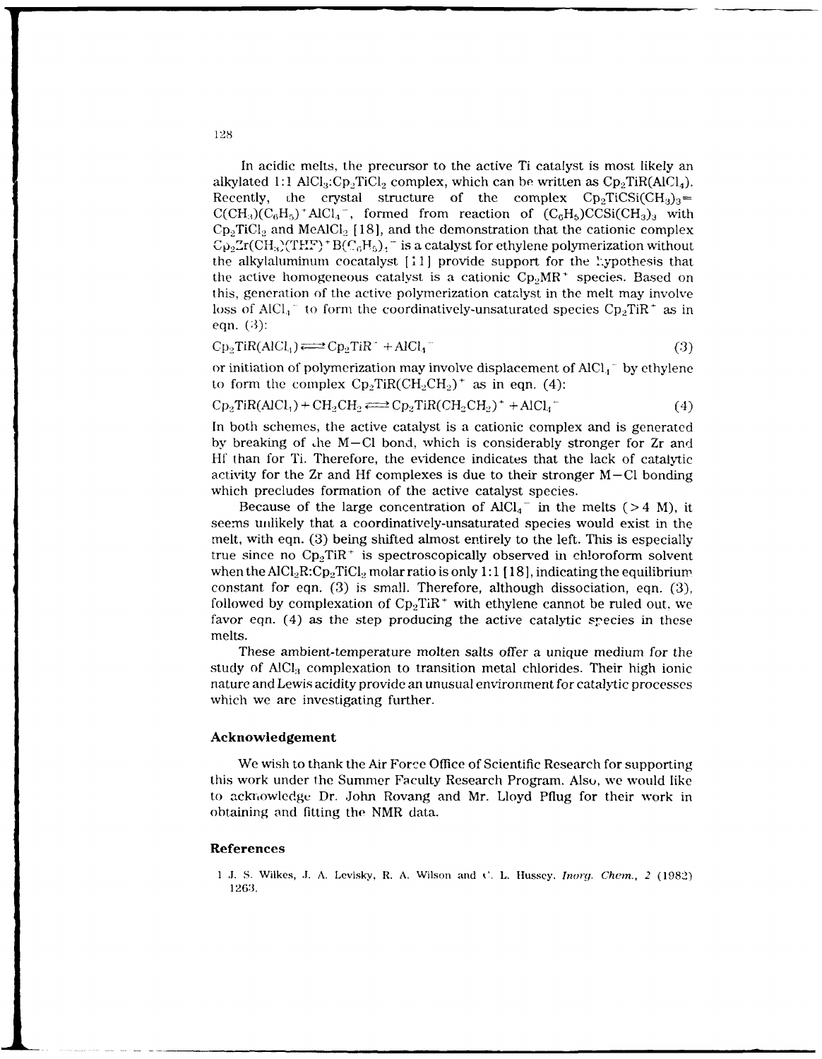In acidic melts, the precursor to the active Ti catalyst is most likely an alkylated 1:1  $AICI_3:Cp_2TiCl_2$  complex, which can be written as  $Cp_2TiR(AICI_4)$ . Recently, the crystal structure of the complex  $\text{Cp}_2\text{TiCSi}(\text{CH}_3)_3=$  $C(CH_3)(C_6H_5)^+AlCl_4^-$ , formed from reaction of  $(C_6H_5)CCSi(CH_3)_3$  with  $\text{Cp}_2$ TiCl<sub>2</sub> and MeAlCl<sub>2</sub> [18], and the demonstration that the cationic complex  $\text{Cp}_2\text{Zr}(CH_3)(\text{THF}) + \text{B}(C_6H_5)_4$  is a catalyst for ethylene polymerization without the alkylaluminum cocatalyst  $[i]$  provide support for the *xypothesis* that the active homogeneous catalyst is a cationic  $Cp_2MR^+$  species. Based on this, generation of the active polymerization catalyst in the melt may involve loss of AlCl<sub>1</sub><sup>-</sup> to form the coordinatively-unsaturated species  $Cp_2TiR^+$  as in eqn. (3):

$$
Cp_2TiR(AICl_4) \Longleftrightarrow Cp_2TiR^+ + AICl_4^- \tag{3}
$$

or initiation of polymerization may involve displacement of **AlCl.1** - by ethylene to form the complex  $\text{Cp}_2\text{TiR}(\text{CH}_2\text{CH}_2)^+$  as in eqn. (4):

$$
Cp_2TiR(AICl_1) + CH_2CH_2 \Longleftrightarrow Cp_2TiR(CH_2CH_2)^+ + AICl_4^-
$$
\n(4)

In both schemes, the active catalyst is a cationic complex and is generated by breaking of .he M-C1 bond, which is considerably stronger for Zr and Hf' than for Ti. Therefore, the evidence indicates that the lack of catalytic activity for the  $Zr$  and Hf complexes is due to their stronger  $M-Cl$  bonding which precludes formation of the active catalyst species.

Because of the large concentration of  $AlCl<sub>4</sub>^-$  in the melts (>4 M), it seems unlikely that a coordinatively-unsaturated species would exist in the melt, with eqn. (3) being shifted almost entirely to the left. This is especially true since no  $\text{Cp}_2 \text{TiR}^+$  is spectroscopically observed in chloroform solvent when the  $\text{AICl}_2\text{R:} \text{Cp}_2\text{TiCl}_2$  molar ratio is only 1:1 [18], indicating the equilibrium constant for eqn. (3) is small. Therefore, although dissociation, eqn. (3), followed by complexation of  $Cp_2TiR^+$  with ethylene cannot be ruled out. we favor eqn. (4) as the step producing the active catalytic species in these melts.

These ambient-temperature molten salts offer a unique medium for the study of  $AICI<sub>3</sub>$  complexation to transition metal chlorides. Their high ionic nature and Lewis acidity provide an unusual environment for catalytic processes which we are investigating further.

### **Acknowledgement**

We wish to thank the Air Force Office of Scientific Research for supporting this work under the Summer Faculty Research Program. Also, we would like to ack iowledgc Dr. John Rovang and Mr. Lloyd Pflug for their work in obtaining and fitting the NMR data.

### **References**

1 **J. S.** Wilkes, **J.** A. Levisky, R. A. Wilson and C. L. Htusscy, *Inorg. Chem., 2* (1982) 1263.

**128**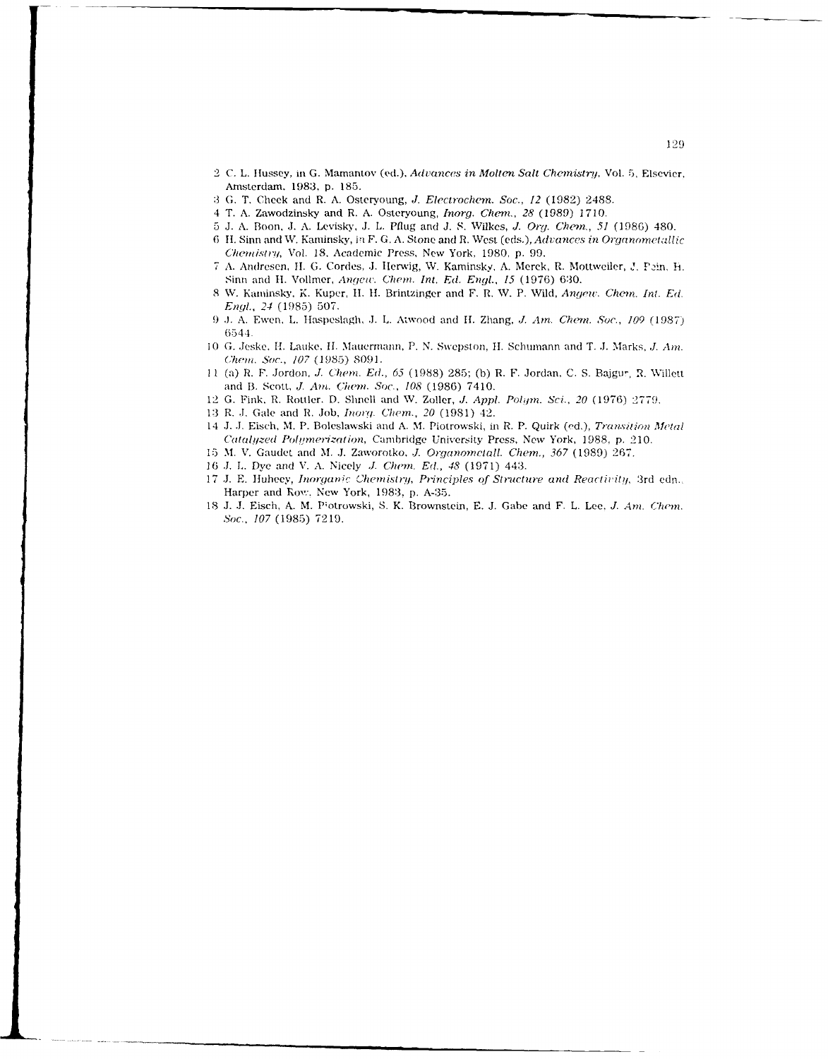- 2 C. L. Hlussey, in **G.** Mamantov (ed.), *Advances in Molten* Salt *Chemistry,* Vol. 5, Elsevier. Amsterdam. 1983, p. 185.
- **:3 G.** T, Cheek and R. A. Osteryoung, *J. Electrachew. Soc., 12* (1982) 2488.
- 4 T. A. Zawodzinsky and R. A. Osteryoung, *Inorg. Chew., 28* (1989) 1710.
- **5 J.** A. Boon, J. A. Levisky, **J.** L. **Pflug** and **J. S.** Wilkes, *J* **Or-.** *ChQim., 51* (1986) 480.
- 6 **I.** Sinn and W. Kaminsky, i F. **G.** A. Stone and R. West *(eds.),Advances in Organometillic 'mktrtir?!,* Vol. **18,** Academic Press, New York, 1980, p. 99.
- 7 A. Andresen, **11. G.** Cordes, **,J.** Ilerwig, W. Kaminsky, A. Merck, R. Mottweiler, J. Prn, h. Sinn and H. Vollmer, *Angew. Chem. Int. Ed. Engl., 15* (1976) 630.
- **8** W. Kaminsky, K. Kuper, **11. 1I.** Brintzinger and F. R. V. P. Wild, *Angew. Chem.* Int. *Ed. Engl., 24* (1985) 507.
- 9 **J.** A. Ewen, L. tlaspeslagh, **.1.** L. Atwood and **If.** Zhang, *J. Am. Chewn. Soc., 109* (1987) 6544.
- 10 G. Jeske, H. Lauke, H. Mauermann, P. N. Swepston, H. Schumann and T. J. Marks, *J. Am. Che i. ,Soc., 107* (1985) 8091.
- 11 (a) R. F. Jordon, *J. Chem. Ed., 65* (1988) 285; (b) R. F. Jordan, C. S. Bajgur, R. Willett and B. Scott, *J. Am.* Chem. *Sac., 108* (1986) 7410.
- 12 G. Fink. R. Rottler. D. Slinell and V. Zoller, *. Appl. Pollm. Sci.,* 20 (1976) 2779.
- 13 R. J. Gale and R. Job, *Inorg. Chem., 20* (1981) 42.
- 14 **,J. .J,** Eisch, M. P. Boleslawski and A. M. Piotrowski, in R. P. Quirk (ed.), *Transition Metal Catalyzed Polymerization, Cambridge University Press, New York, 1988, p. 210.*
- 15 M. V. Gaudet and M. **.J.** Zaworotko, *J1. Organomelall. Chem., 367* (1989) 267.
- 16 *..* **L.** Dye and V. A. Nicely *J1 Chem.* **Edl.,** *48* (1971) 443.
- 17 J. E. Huheey, *Inorganic Chemistry, Principles of Structure and Reactivity, 3rd edn.*. Harper and Row. New York, 1983, p. A-35.
- 18 J. J. Eisch, A. M. Piotrowski, S. K. Brownstein, E. J. Gabe and F. L. Lee, *J. Am. Chem. Soc., 107* (1985) 7219.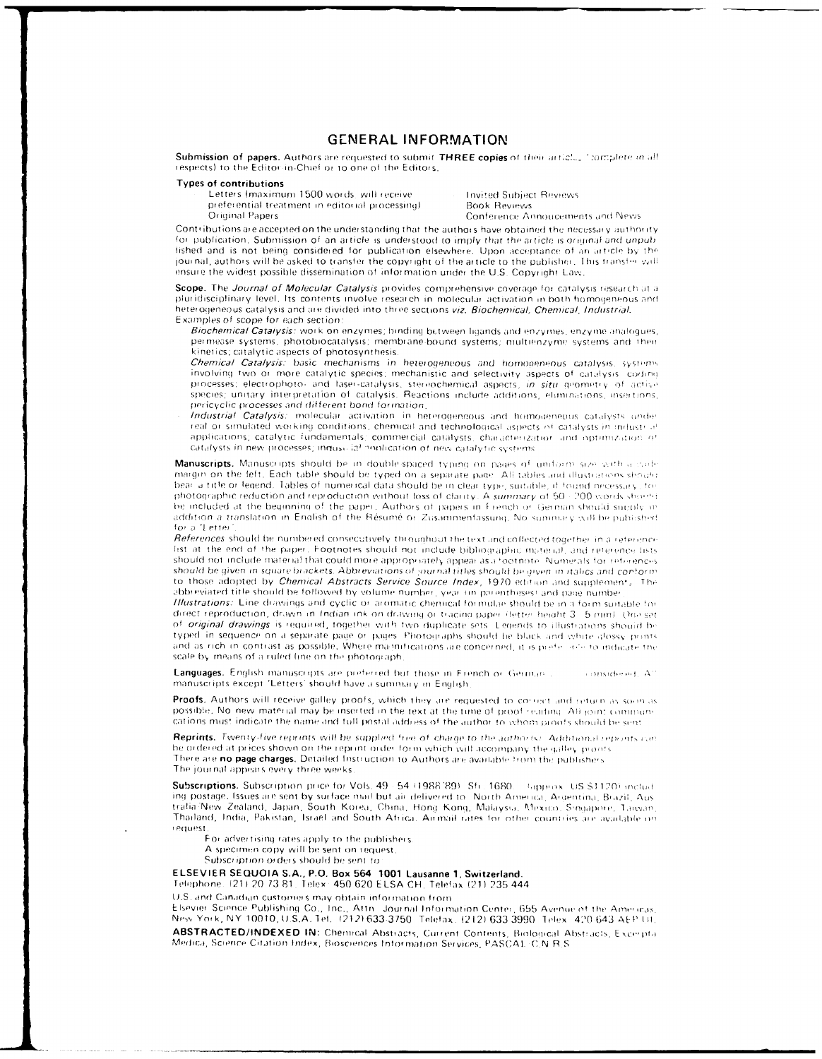### **GENERAL INFORMATION**

Submission of papers. Authors are requested to submit THREE copies of their articles fromplete in all respects) to the Editor in Chief or to one of the Editors.

#### **Types of contributions**

Letters (maximum 1500 words, will receive preferential treatment in editorial processing) Original Papers

**Invited Subject Reviews Book Reviews** Conference Annoucements and News

Contributions are accepted on the understanding that the authors have obtained the necessary authority for publication. Submission of an article is understood to imply that the article is original and unpublished and is not being considered for publication elsewhere. Upon acceptance of an article by the journal, authors will be asked to transfer the copyright of the article to the publisher. This transfer will ensure the widest possible dissemination of information under the U.S. Copyright Law.

Scope. The Journal of Molecular Catalysis provides comprehensive coverage for catalysis research at a pluridisciplinary level, Its contents involve research in molecular activation in both homogeneous and heterogeneous catalysis and are divided into three sections viz. Biochemical, Chemical, Industrial. Examples of scope for each section:

Biochemical Catalysis: work on enzymes; binding between ligands and enzymes, enzyme analogues, permease systems, photobiocatalysis; membrane-bound systems; multienzyme systems and their kinetics; catalytic aspects of photosynthesis.

Chemical Catalysis: basic mechanisms in heterogeneous and homogeneous catalysis, systems involving two or more catalytic species; mechanistic and selectivity aspects of catalysis, coding processes; electrophoto- and laser-catalysis, stereochemical aspects, in situ geometry of active species; unitary interpretation of catalysis. Reactions include additions, eliminations, insertions, pericyclic processes and different bond formation.

Industrial Catalysis: molecular activation in heterogeneous and homogeneous catalysts under real or simulated working conditions, chemical and technological aspects of catalysts in industrial applications; catalytic fundamentals; commercial catalysts, characterization and optimization of catalysts in new processes; inquso ial nonfication of new catalytic systems

Manuscripts. Manuscripts should be in double-spaced typing on pages of uniform size with a dadmargin on the left. Each table should be typed on a separate page. All tables and illustrations should bear a title or legend. Tables of numerical data should be in clear type, suitable, if found necessary, to photographic reduction and reproduction without loss of clarity. A summary of 50 - 200 words should be included at the beginning of the paper. Authors of papers in French or German should sucoly in addition a translation in English of the Résumé or Zusammenfassung. No summary will be published for a 'Letter

References should be numbered consecutively throughout the text and collected together in a reference list at the end of the paper, Footnotes should not include bibliographic material, and reference lists should not include material that could more appropriately appear as a footnote. Numerals for refirences should be given in square brackets. Abbreviations of journal titles should be given in italics and conform to those adopted by Chemical Abstracts Service Source Index, 1970 edition and supplement, The abbreviated title should be followed by volume number, year (in parentheses) and page number

Illustrations: Line drawings and cyclic or aromatic chemical formulae should be in a form suitable for direct reproduction, drawn in Indian ink on drawing or tracing paper (letter height 3 - 5 mm). One set of original drawings is required, together with two duplicate sets. Legends to illustrations should be typed in sequence on a separate page or pages. Photographs should be black and white glossy prints and as rich in contrast as possible. Where magnifications are concerned, it is preferently to indicate the scale by means of a ruled line on the photograph

Languages. English manuscripts are preferred but those in French or German . considered AT manuscripts except 'Letters' should have a summary in English

Proofs. Authors will receive galley proofs, which they are requested to connect and return as soon as possible. No new material may be inserted in the text at the time of proof reading. All joint communications must indicate the name and full postal address of the author to whom proofs should be sent

Reprints. Twenty-five reprints will be supplied free of charge to the authorist. Additional reprints can be ordered at prices shown on the reprint order form which will accompany the galley proofs There are no page charges. Detailed Instruction to Authors are available from the publishers The journal appears every three weeks

Subscriptions. Subscription price for Vols. 49 - 54 (1988-89) Sfi. 1680. Lapprox. US \$1120) includ. ing postage. Issues are sent by surface mail but air delivered to North America, Argentina, Brazil, Aus tralia/New Zealand, Japan, South Korea, China, Hong Kong, Malaysia, Mexico, Singapore, Tanvan, Thailand, India, Pakistan, Israel and South Africa. Airmail rates for other countries are available on request

For advertising rates apply to the publishers.

A specimen copy will be sent on request

Subscription orders should be sent to

#### ELSEVIER SEQUOIA S.A., P.O. Box 564 1001 Lausanne 1, Switzerland.

Telephone. (21) 20 73 81. Telex: 450 620 ELSA CH. Telefax (21) 235 444

U.S. and Canadian customers may obtain information from

Elsevier Science Publishing Co., Inc., Attn. Journal Information Center, 655 Avenue of the Americas, New York, NY 10010, U.S.A. Tel. (212) 633-3750. Telefax, (212) 633-3990. Telex. 420-643 AEP UL ABSTRACTED/INDEXED IN: Chemical Abstracts, Current Contents, Biological Abstracts, Excerpta Medica, Science Citation Index, Biosciences Information Services, PASCAL: C.N.R.S.